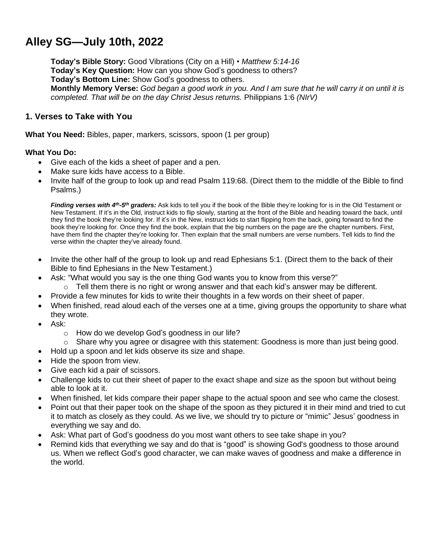# **Alley SG—July 10th, 2022**

**Today's Bible Story:** Good Vibrations (City on a Hill) • *Matthew 5:14-16* **Today's Key Question:** How can you show God's goodness to others? **Today's Bottom Line:** Show God's goodness to others. Monthly Memory Verse: God began a good work in you. And I am sure that he will carry it on until it is *completed. That will be on the day Christ Jesus returns.* Philippians 1:6 *(NIrV)*

## **1. Verses to Take with You**

**What You Need:** Bibles, paper, markers, scissors, spoon (1 per group)

#### **What You Do:**

- Give each of the kids a sheet of paper and a pen.
- Make sure kids have access to a Bible.
- Invite half of the group to look up and read Psalm 119:68. (Direct them to the middle of the Bible to find Psalms.)

*Finding verses with 4<sup>th</sup>-5<sup>th</sup> graders:* Ask kids to tell you if the book of the Bible they're looking for is in the Old Testament or New Testament. If it's in the Old, instruct kids to flip slowly, starting at the front of the Bible and heading toward the back, until they find the book they're looking for. If it's in the New, instruct kids to start flipping from the back, going forward to find the book they're looking for. Once they find the book, explain that the big numbers on the page are the chapter numbers. First, have them find the chapter they're looking for. Then explain that the small numbers are verse numbers. Tell kids to find the verse within the chapter they've already found.

- Invite the other half of the group to look up and read Ephesians 5:1. (Direct them to the back of their Bible to find Ephesians in the New Testament.)
	- Ask: "What would you say is the one thing God wants you to know from this verse?"
		- o Tell them there is no right or wrong answer and that each kid's answer may be different.
- Provide a few minutes for kids to write their thoughts in a few words on their sheet of paper.
- When finished, read aloud each of the verses one at a time, giving groups the opportunity to share what they wrote.
- Ask:
	- o How do we develop God's goodness in our life?
	- $\circ$  Share why you agree or disagree with this statement: Goodness is more than just being good.
- Hold up a spoon and let kids observe its size and shape.
- Hide the spoon from view.
- Give each kid a pair of scissors.
- Challenge kids to cut their sheet of paper to the exact shape and size as the spoon but without being able to look at it.
- When finished, let kids compare their paper shape to the actual spoon and see who came the closest.
- Point out that their paper took on the shape of the spoon as they pictured it in their mind and tried to cut it to match as closely as they could. As we live, we should try to picture or "mimic" Jesus' goodness in everything we say and do.
- Ask: What part of God's goodness do you most want others to see take shape in you?
- Remind kids that everything we say and do that is "good" is showing God's goodness to those around us. When we reflect God's good character, we can make waves of goodness and make a difference in the world.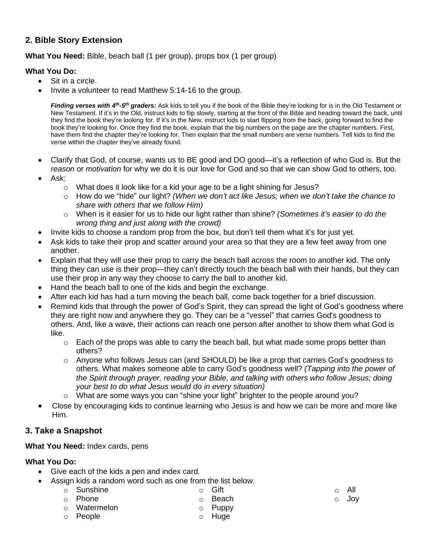## **2. Bible Story Extension**

#### **What You Need:** Bible, beach ball (1 per group), props box (1 per group)

#### **What You Do:**

- Sit in a circle.
- Invite a volunteer to read Matthew 5:14-16 to the group.

*Finding verses with 4<sup>th</sup>-5<sup>th</sup> graders:* Ask kids to tell you if the book of the Bible they're looking for is in the Old Testament or New Testament. If it's in the Old, instruct kids to flip slowly, starting at the front of the Bible and heading toward the back, until they find the book they're looking for. If it's in the New, instruct kids to start flipping from the back, going forward to find the book they're looking for. Once they find the book, explain that the big numbers on the page are the chapter numbers. First, have them find the chapter they're looking for. Then explain that the small numbers are verse numbers. Tell kids to find the verse within the chapter they've already found.

- Clarify that God, of course, wants us to BE good and DO good—it's a reflection of who God is. But the *reason* or *motivation* for why we do it is our love for God and so that we can show God to others, too.
- Ask:
	- o What does it look like for a kid your age to be a light shining for Jesus?
	- o How do we "hide" our light? *(When we don't act like Jesus; when we don't take the chance to share with others that we follow Him)*
	- o When is it easier for us to hide our light rather than shine? *(Sometimes it's easier to do the wrong thing and just along with the crowd)*
- Invite kids to choose a random prop from the box, but don't tell them what it's for just yet.
- Ask kids to take their prop and scatter around your area so that they are a few feet away from one another.
- Explain that they will use their prop to carry the beach ball across the room to another kid. The only thing they can use is their prop—they can't directly touch the beach ball with their hands, but they can use their prop in any way they choose to carry the ball to another kid.
- Hand the beach ball to one of the kids and begin the exchange.
- After each kid has had a turn moving the beach ball, come back together for a brief discussion.
- Remind kids that through the power of God's Spirit, they can spread the light of God's goodness where they are right now and anywhere they go. They can be a "vessel" that carries God's goodness to others. And, like a wave, their actions can reach one person after another to show them what God is like.
	- $\circ$  Each of the props was able to carry the beach ball, but what made some props better than others?
	- $\circ$  Anyone who follows Jesus can (and SHOULD) be like a prop that carries God's goodness to others. What makes someone able to carry God's goodness well? *(Tapping into the power of the Spirit through prayer, reading your Bible, and talking with others who follow Jesus; doing your best to do what Jesus would do in every situation)*
	- o What are some ways you can "shine your light" brighter to the people around you?
- Close by encouraging kids to continue learning who Jesus is and how we can be more and more like Him.

## **3. Take a Snapshot**

#### **What You Need:** Index cards, pens

## **What You Do:**

- Give each of the kids a pen and index card.
	- Assign kids a random word such as one from the list below.
		- o Sunshine o Phone o Gift o Beach
		- o Watermelon o Puppy
		- o People

o Huge

- o All
- 
- o Joy